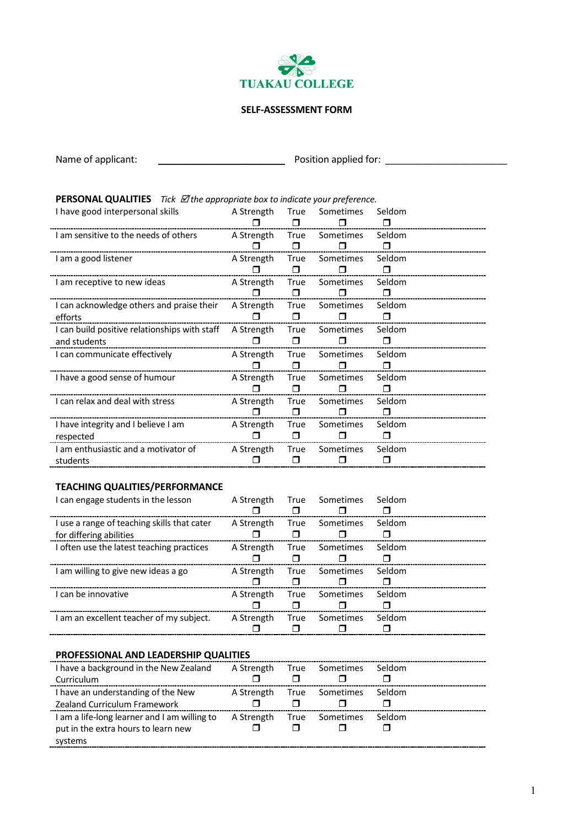

#### **SELF-ASSESSMENT FORM**

| Name of applicant:                                                                          | Position applied for: |                |                     |                  |  |  |  |
|---------------------------------------------------------------------------------------------|-----------------------|----------------|---------------------|------------------|--|--|--|
|                                                                                             |                       |                |                     |                  |  |  |  |
| <b>PERSONAL QUALITIES</b> Tick $\mathbb Z$ the appropriate box to indicate your preference. |                       |                |                     |                  |  |  |  |
| I have good interpersonal skills                                                            | A Strength            | True<br>$\Box$ | Sometimes           | Seldom<br>$\Box$ |  |  |  |
| I am sensitive to the needs of others                                                       | A Strength<br>⊓       | True<br>$\Box$ | Sometimes<br>П      | Seldom<br>$\Box$ |  |  |  |
| I am a good listener                                                                        | A Strength            | True<br>$\Box$ | Sometimes<br>⊓      | Seldom<br>□      |  |  |  |
| I am receptive to new ideas                                                                 | A Strength            | True<br>$\Box$ | Sometimes<br>⊓      | Seldom<br>□      |  |  |  |
| I can acknowledge others and praise their<br>efforts                                        | A Strength<br>⊓       | True<br>$\Box$ | Sometimes<br>$\Box$ | Seldom<br>$\Box$ |  |  |  |
| I can build positive relationships with staff<br>and students                               | A Strength<br>$\Box$  | True<br>⊓      | Sometimes<br>⊓      | Seldom<br>⊓      |  |  |  |
| I can communicate effectively                                                               | A Strength<br>⊓       | True<br>$\Box$ | Sometimes<br>П      | Seldom<br>⊓      |  |  |  |
| I have a good sense of humour                                                               | A Strength            | True<br>$\Box$ | Sometimes<br>Π      | Seldom<br>⊓      |  |  |  |
| I can relax and deal with stress                                                            | A Strength            | True<br>$\Box$ | Sometimes<br>П      | Seldom<br>□      |  |  |  |
| I have integrity and I believe I am<br>respected                                            | A Strength            | True<br>□      | Sometimes<br>П      | Seldom<br>⊓      |  |  |  |
| I am enthusiastic and a motivator of<br>students                                            | A Strength            | True<br>⊓      | Sometimes<br>⊓      | Seldom<br>⊓      |  |  |  |

# **TEACHING QUALITIES/PERFORMANCE**

| I can engage students in the lesson                                    | A Strength | True Sometimes | Seldom |  |
|------------------------------------------------------------------------|------------|----------------|--------|--|
| I use a range of teaching skills that cater<br>for differing abilities | A Strength | True Sometimes | Seldom |  |
| I often use the latest teaching practices                              | A Strength | True Sometimes | Seldom |  |
| I am willing to give new ideas a go                                    |            | True Sometimes |        |  |
|                                                                        | A Strength |                | Seldom |  |
| I can be innovative                                                    | A Strength | True Sometimes | Seldom |  |

# **PROFESSIONAL AND LEADERSHIP QUALITIES**

| I have a background in the New Zealand       |  | A Strength True Sometimes        | Seldom |  |
|----------------------------------------------|--|----------------------------------|--------|--|
| Curriculum                                   |  |                                  |        |  |
| I have an understanding of the New           |  | A Strength True Sometimes Seldom |        |  |
| <b>Zealand Curriculum Framework</b>          |  |                                  |        |  |
| I am a life-long learner and I am willing to |  | A Strength True Sometimes        | Seldom |  |
| put in the extra hours to learn new          |  |                                  |        |  |
| systems                                      |  |                                  |        |  |